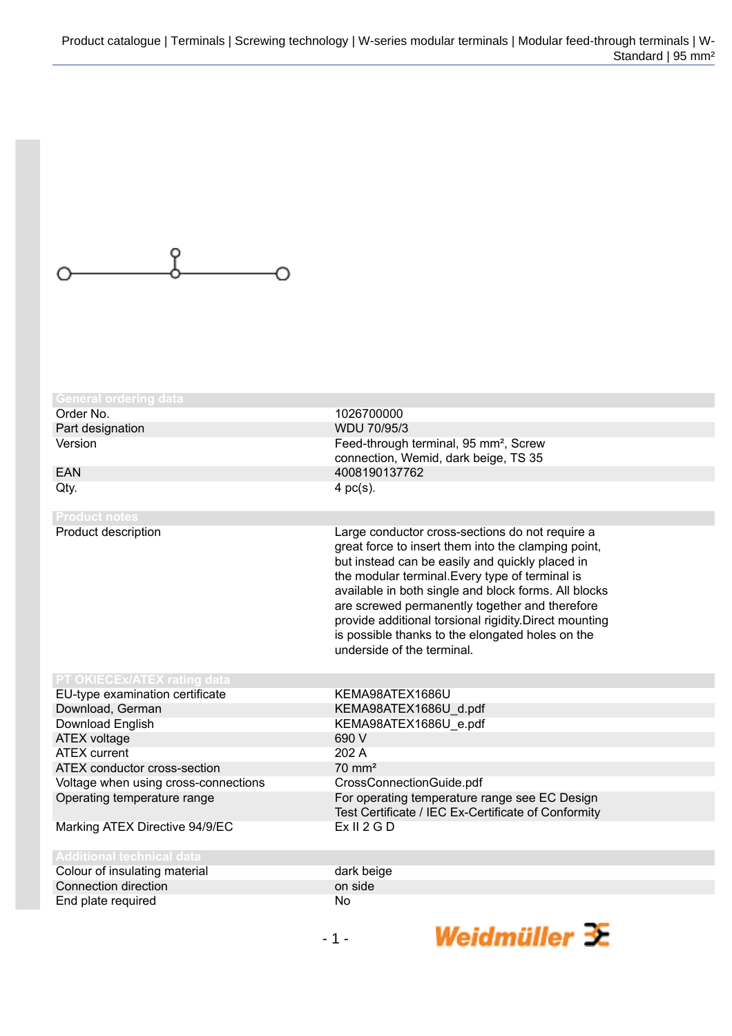

| <b>General ordering data</b><br>Order No. |                                                                                                                                                                                                                                                                                                                                                                                                                                                                    |
|-------------------------------------------|--------------------------------------------------------------------------------------------------------------------------------------------------------------------------------------------------------------------------------------------------------------------------------------------------------------------------------------------------------------------------------------------------------------------------------------------------------------------|
| Part designation                          | 1026700000<br>WDU 70/95/3                                                                                                                                                                                                                                                                                                                                                                                                                                          |
| Version                                   | Feed-through terminal, 95 mm <sup>2</sup> , Screw                                                                                                                                                                                                                                                                                                                                                                                                                  |
|                                           | connection, Wemid, dark beige, TS 35                                                                                                                                                                                                                                                                                                                                                                                                                               |
| EAN                                       | 4008190137762                                                                                                                                                                                                                                                                                                                                                                                                                                                      |
| Qty.                                      | 4 $pc(s)$ .                                                                                                                                                                                                                                                                                                                                                                                                                                                        |
|                                           |                                                                                                                                                                                                                                                                                                                                                                                                                                                                    |
| <b>Product notes</b>                      |                                                                                                                                                                                                                                                                                                                                                                                                                                                                    |
| Product description                       | Large conductor cross-sections do not require a<br>great force to insert them into the clamping point,<br>but instead can be easily and quickly placed in<br>the modular terminal. Every type of terminal is<br>available in both single and block forms. All blocks<br>are screwed permanently together and therefore<br>provide additional torsional rigidity. Direct mounting<br>is possible thanks to the elongated holes on the<br>underside of the terminal. |
| PT OKIECEx/ATEX rating data               |                                                                                                                                                                                                                                                                                                                                                                                                                                                                    |
| EU-type examination certificate           | KEMA98ATEX1686U                                                                                                                                                                                                                                                                                                                                                                                                                                                    |
| Download, German                          | KEMA98ATEX1686U_d.pdf                                                                                                                                                                                                                                                                                                                                                                                                                                              |
| Download English                          | KEMA98ATEX1686U e.pdf                                                                                                                                                                                                                                                                                                                                                                                                                                              |
| ATEX voltage                              | 690 V                                                                                                                                                                                                                                                                                                                                                                                                                                                              |
| <b>ATEX</b> current                       | 202 A                                                                                                                                                                                                                                                                                                                                                                                                                                                              |
| ATEX conductor cross-section              | $70 \text{ mm}^2$                                                                                                                                                                                                                                                                                                                                                                                                                                                  |
| Voltage when using cross-connections      | CrossConnectionGuide.pdf                                                                                                                                                                                                                                                                                                                                                                                                                                           |
| Operating temperature range               | For operating temperature range see EC Design<br>Test Certificate / IEC Ex-Certificate of Conformity                                                                                                                                                                                                                                                                                                                                                               |
| Marking ATEX Directive 94/9/EC            | Ex II 2 G D                                                                                                                                                                                                                                                                                                                                                                                                                                                        |
| <b>Additional technical data</b>          |                                                                                                                                                                                                                                                                                                                                                                                                                                                                    |
| Colour of insulating material             | dark beige                                                                                                                                                                                                                                                                                                                                                                                                                                                         |
| Connection direction                      | on side                                                                                                                                                                                                                                                                                                                                                                                                                                                            |
| End plate required                        | No                                                                                                                                                                                                                                                                                                                                                                                                                                                                 |

Weidmüller  $\mathbf{\mathcal{F}}$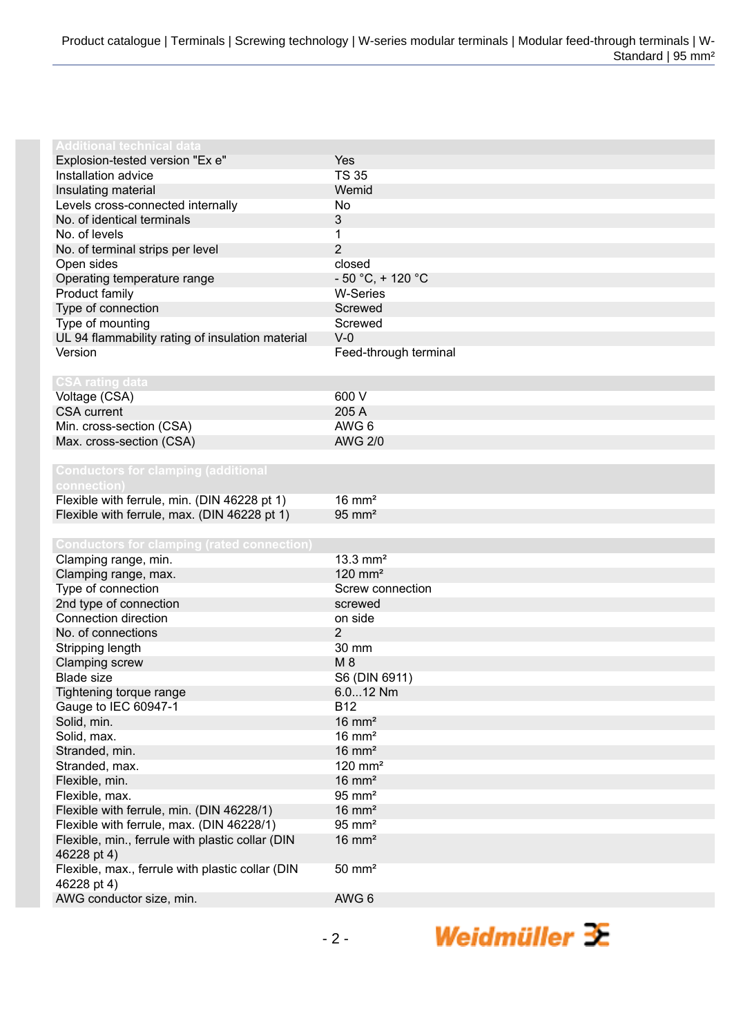| Additional technical data                         |                       |
|---------------------------------------------------|-----------------------|
| Explosion-tested version "Ex e"                   | Yes                   |
| Installation advice                               | <b>TS 35</b>          |
| Insulating material                               | Wemid                 |
| Levels cross-connected internally                 | No                    |
| No. of identical terminals                        | 3                     |
| No. of levels                                     | 1                     |
| No. of terminal strips per level                  | $\overline{2}$        |
| Open sides                                        | closed                |
| Operating temperature range                       | $-50 °C$ , + 120 °C   |
| Product family                                    | <b>W-Series</b>       |
| Type of connection                                | Screwed               |
| Type of mounting                                  | Screwed               |
| UL 94 flammability rating of insulation material  | $V-0$                 |
| Version                                           | Feed-through terminal |
|                                                   |                       |
| <b>CSA rating data</b>                            |                       |
| Voltage (CSA)                                     | 600 V                 |
| <b>CSA</b> current                                | 205 A                 |
| Min. cross-section (CSA)                          | AWG 6                 |
| Max. cross-section (CSA)                          | <b>AWG 2/0</b>        |
|                                                   |                       |
| <b>Conductors for clamping (additional</b>        |                       |
| connection)                                       |                       |
| Flexible with ferrule, min. (DIN 46228 pt 1)      | $16 \text{ mm}^2$     |
| Flexible with ferrule, max. (DIN 46228 pt 1)      | $95 \text{ mm}^2$     |
|                                                   |                       |
|                                                   |                       |
|                                                   |                       |
| <b>Conductors for clamping (rated connection)</b> |                       |
| Clamping range, min.                              | 13.3 $mm2$            |
| Clamping range, max.                              | $120$ mm <sup>2</sup> |
| Type of connection                                | Screw connection      |
| 2nd type of connection                            | screwed               |
| Connection direction                              | on side               |
| No. of connections                                | 2                     |
| Stripping length                                  | 30 mm                 |
| <b>Clamping screw</b>                             | $M_8$                 |
| <b>Blade size</b>                                 | S6 (DIN 6911)         |
| Tightening torque range                           | $6.012$ Nm            |
| Gauge to IEC 60947-1                              | <b>B12</b>            |
| Solid, min.                                       | $16 \text{ mm}^2$     |
| Solid, max.                                       | $16 \text{ mm}^2$     |
| Stranded, min.                                    | $16 \text{ mm}^2$     |
| Stranded, max.                                    | $120$ mm <sup>2</sup> |
| Flexible, min.                                    | $16 \text{ mm}^2$     |
| Flexible, max.                                    | $95 \text{ mm}^2$     |
| Flexible with ferrule, min. (DIN 46228/1)         | $16 \text{ mm}^2$     |
| Flexible with ferrule, max. (DIN 46228/1)         | $95 \text{ mm}^2$     |
| Flexible, min., ferrule with plastic collar (DIN  | $16 \text{ mm}^2$     |
| 46228 pt 4)                                       |                       |
| Flexible, max., ferrule with plastic collar (DIN  | $50 \text{ mm}^2$     |
| 46228 pt 4)                                       |                       |
| AWG conductor size, min.                          | AWG 6                 |

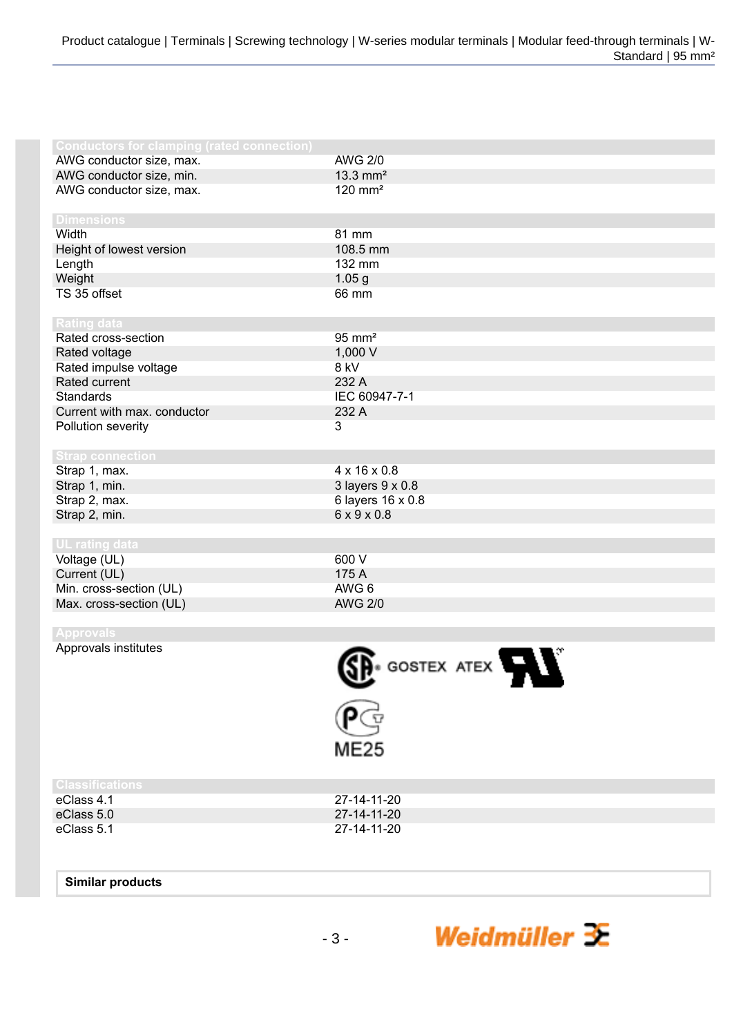|                                                   | GOSTEX ATEX              |
|---------------------------------------------------|--------------------------|
| Approvals institutes                              |                          |
|                                                   |                          |
| <b>Approvals</b>                                  |                          |
|                                                   |                          |
| Max. cross-section (UL)                           | <b>AWG 2/0</b>           |
| Min. cross-section (UL)                           | AWG 6                    |
| Current (UL)                                      | 175 A                    |
| Voltage (UL)                                      | 600 V                    |
| <b>UL</b> rating data                             |                          |
|                                                   |                          |
| Strap 2, min.                                     | $6 \times 9 \times 0.8$  |
| Strap 2, max.                                     | 6 layers 16 x 0.8        |
| Strap 1, min.                                     | 3 layers 9 x 0.8         |
| Strap 1, max.                                     | $4 \times 16 \times 0.8$ |
| <b>Strap connection</b>                           |                          |
|                                                   |                          |
| Pollution severity                                |                          |
|                                                   | 3                        |
| Current with max. conductor                       | 232 A                    |
| <b>Standards</b>                                  | IEC 60947-7-1            |
| Rated current                                     | 232 A                    |
| Rated impulse voltage                             | 8 kV                     |
| Rated voltage                                     | 1,000 V                  |
| Rated cross-section                               | $95 \text{ mm}^2$        |
| <b>Rating data</b>                                |                          |
|                                                   |                          |
| TS 35 offset                                      | 66 mm                    |
| Weight                                            | 1.05 g                   |
| Length                                            | 132 mm                   |
| Height of lowest version                          | 108.5 mm                 |
| Width                                             | 81 mm                    |
| <b>Dimensions</b>                                 |                          |
|                                                   |                          |
| AWG conductor size, max.                          | $120$ mm <sup>2</sup>    |
| AWG conductor size, min.                          | $13.3$ mm <sup>2</sup>   |
| AWG conductor size, max.                          | <b>AWG 2/0</b>           |
| <b>Conductors for clamping (rated connection)</b> |                          |

Weidmüller  $\mathcal{F}$